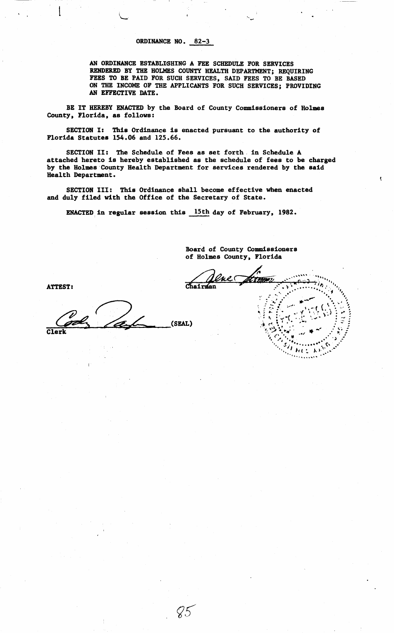AN ORDINANCE ESTABLDSHING A FEE SCHEDULE FOR SERVICES RENDERED BY THE HOLMES COUNTY HEALTH DEPARTMENT; REQUIRING FEES TO BE PAID FOR SUCH SERVICES, SAID FEES TO BE BASED ON THE INCOME OF THE APPLICANTS FOR SUCH SERVICES; PROVIDING AN EFFECTIVE DATE.

BE IT HEREBY ENACTED by the Board of County Commissioners of Holmes County, Florida, as follows:

SECTION I: This Ordinance is enacted pursuant to the authority of Florida Statutes 154.06 and 125.66.

SECTION II: The Schedule of Fees as set forth. in Schedule A attached hereto is hereby established as the schedule of fees to be charged by the Holmes·County Health Department for services rendered by the **said**  Health Department.

SECTION III: This Ordinance shall become effective when enacted and duly filed with the Office of the Secretary of State.

ENACTED in regular session this <sup>15th</sup> day of February, 1982.

85

Board of County Commissioners of Holmes County, Florida

 $\mathcal{L}$ .

0a e ( the Common

 $H($  $\lambda$  ŧ

ATTEST:

(SEAL) **Clerk**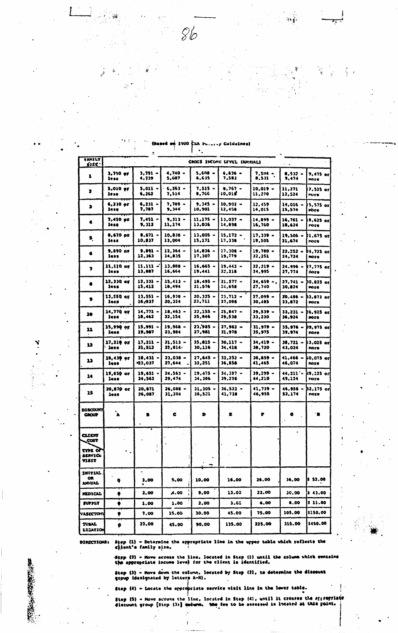$86$ 

A

 $\mathbb{R}^2$ 

in g

| <i><b>EANZLY</b></i><br>sizc.     | CROCS INCOME LEVEL (ANIUAL) |            |            |            |              |            |            |                       |  |  |
|-----------------------------------|-----------------------------|------------|------------|------------|--------------|------------|------------|-----------------------|--|--|
| 1                                 | $3,790$ or                  | 3,791 ·    | $4,740 -$  | $5.608 -$  | $6.636 -$    | 7,584 -    | 0,532 .    | $9.475$ or            |  |  |
|                                   | less                        | 4,739      | 5,G87      | 6,635      | 7,58)        | 8,5)1      | 9,474      | more                  |  |  |
| ,                                 | <b>S.010 er</b>             | 5,011 -    | $6.263 -$  | 7.515 -    | U,767 -      | $10,019 -$ | 11,271     | $2.525$ or            |  |  |
|                                   | less.                       | 6, 262     | 7.514      | 8,766      | 10,018       | 11,270     | 12,524     | rure.                 |  |  |
| 3                                 | 6,230 pr                    | 6,231 -    | 7,789 -    | 9,345 -    | $10,902 -$   | 12,459     | $14,016 -$ | $5,575$ or            |  |  |
|                                   | less                        | 7,787      | 9,344      | 10,901     | 12,458       | 14,015     | 15,574     | roze.                 |  |  |
| $\bullet$                         | 7,450 pr                    | 7,451 -    | ,,,,,,     | 11,175 -   | $13,037 -$   | 14,899 –   | $16,761 -$ | $8,625$ or            |  |  |
|                                   | less                        | 9, 312     | 11,174     | 11,016     | 14,698       | 16,760     | 18,624     | <b>POTE</b>           |  |  |
| S,                                | 8,670 pr                    | 8,671 -    | $10,838 -$ | $13,005 -$ | $15,172 -$   | $17,339 -$ | $19,506 -$ | 21,675 orl            |  |  |
|                                   | less                        | 10,817     | 13,004     | 15,171     | 17,338       | 19,505     | 21,674     | FOTE                  |  |  |
| 6                                 | 9,890 pr                    | $9.891 -$  | $12,364 -$ | $14,836 -$ | $17.308 -$   | $19,780 -$ | $22.252 -$ | $b4,725$ or           |  |  |
|                                   | less                        | 12,363     | 14,835     | 17,307     | 19,779       | 22,251     | 24,724     | more                  |  |  |
| ,                                 | $11,110$ or                 | 11,111 - 1 | $13,688 -$ | $16,665 -$ | $19,442 -$   | $22,219 -$ | 24,996 -   | $2,775$ or            |  |  |
|                                   | less                        | 13,887     | 16,664     | 19,441     | 22,218       | 24,995     | 27,774     | zore.                 |  |  |
|                                   | 12,330 or                   | $12.331 -$ | $15.413 -$ | $18,495 -$ | $21,577 -$   | $24,659 -$ | $27.741 -$ | $50.825$ or           |  |  |
|                                   | less                        | 15,412     | 18,494     | 21,576     | 24,658       | 27,740     | 30,824     | more                  |  |  |
| ,                                 | 13,550 or                   | 13,551 -   | $16,938 -$ | 20,325 –   | 23,712 –     | 27,099 —   | - 385.02   | <b>D3.873</b> or      |  |  |
|                                   | less                        | 16,937     | 20,324     | 23,711     | 27,098       | 30,485     | 33,872     | nore.                 |  |  |
| 30                                | 14,779 or                   | 14,771 –   | $18,463 -$ | 22,155 –   | $25,047 -$   | $29,539 -$ | $33,231 -$ | $[6, 925 \text{ or}]$ |  |  |
|                                   | less                        | 18,462     | 22,154     | 25,846     | 29,538       | 33,230     | 36,924     | more                  |  |  |
| 11                                | $15,999$ or                 | 15,991 –   | $19,968 -$ | 23,985 –   | 27,982 —     | $31,979 -$ | 35,976 –   | <b>09,975 or</b>      |  |  |
|                                   | less                        | 19,987     | 23,984     | 27,981     | 31,978       | 35,975     | 39,974     | rore                  |  |  |
| 12                                | 17.210 or                   | 17,211 -   | 21,513 –   | 25,815 –   | $30,117 -$   | 34,419 –   | $38,721 -$ | k3,025 orl            |  |  |
|                                   | less                        | 21, 512    | 25,814/    | 30,116     | 34,418       | 38,720     | 43,024     | <b>POTO</b>           |  |  |
| ນ                                 | $18,430$ or                 | 18,431 -   | 23,038 –   | 27,645 –   | $32.252 -$   | 36,859 –   | 41,466 –   | k0,075 orl            |  |  |
|                                   | less                        | 23,037     | 27,644     | 32,251     | 36,858       | 41,465     | 46,074     | POZO                  |  |  |
| 14                                | 19,650 or                   | $19,651 -$ | $24,563 -$ | 29,475 –   | 34,337 -     | $39,299 -$ | 44,211 -   | $59,125$ or           |  |  |
|                                   | less.                       | 24,562     | 29,474     | 34,386     | 39,298       | 44,210     | 49,124     | rore                  |  |  |
| 15                                | 20,870 or                   | 20,871     | 26,088 –   | 31,305 -   | $36,522 -$   | $41,739 -$ | 46,956     | 52,175 on             |  |  |
|                                   | less.                       | 26,087     | 31,304     | 36,521     | 41,718       | 46,955     | 52,174     | noze                  |  |  |
| <b>DISCOUNT</b><br><b>CROUP</b>   | $\lambda$                   |            | c          | D          | Б            | r          | 6          | ™∎'                   |  |  |
| CLIDT<br>COST                     |                             |            |            |            |              |            |            |                       |  |  |
| TTH OF<br><b>SERVICE</b><br>VISIT | ٠.                          |            |            |            |              |            |            |                       |  |  |
| <b>INITIAL</b><br>ОR<br>anni      | Q                           | 3,00       | 5.00       | 10.00      | 16.00        | 26.00      | 36,00      | \$ 52.00              |  |  |
| KEDICAL                           | ٠                           | 2,00       | A.OO       | 9,00       | 11.05        | 22.00      | 30.00      | \$ 43.00              |  |  |
| SUPPLY                            | ,                           | 1.00       | 1.00       | 2,00       | 6,00<br>3.GS |            | 8,00       | \$11.00               |  |  |
| VISECTOM                          | 9                           | 7.00       | 15.00      | 30.00      | 45.00        | 75.00      | 105,00     | \$150.00              |  |  |
| TUBAL<br>LISATION                 | 0                           | 2J.OO      | 45.00      | 90.00      | 135.00       | 225.00     | 315,00     | \$450.00              |  |  |

Cuideineal 1900 œ

DIRECTIONS:

۰.<br>.

**大学技术学校研究科学研究** 

Step  $(1)$  - Determine the appropriate line in the upper table which reflects the client's family size.

 $\#$  (2) - Move across the line, located in Step (1) until the column which contains the appropriate income level for the client is identified.

Step (3) - Hove down the column, located by Step (2), to determine the discount group (designated by letters  $A-N$ ).

Step (4) - Locate the appropriate service visit line in the lower table.

 $\pmb{\downarrow}$  $\sim$ 

Step (5) - Hove across the line, located in Step (4), until it crosses the spiropriate<br>discount group [Step (3)] guiurn. the fee to be assessed in located at this puint.